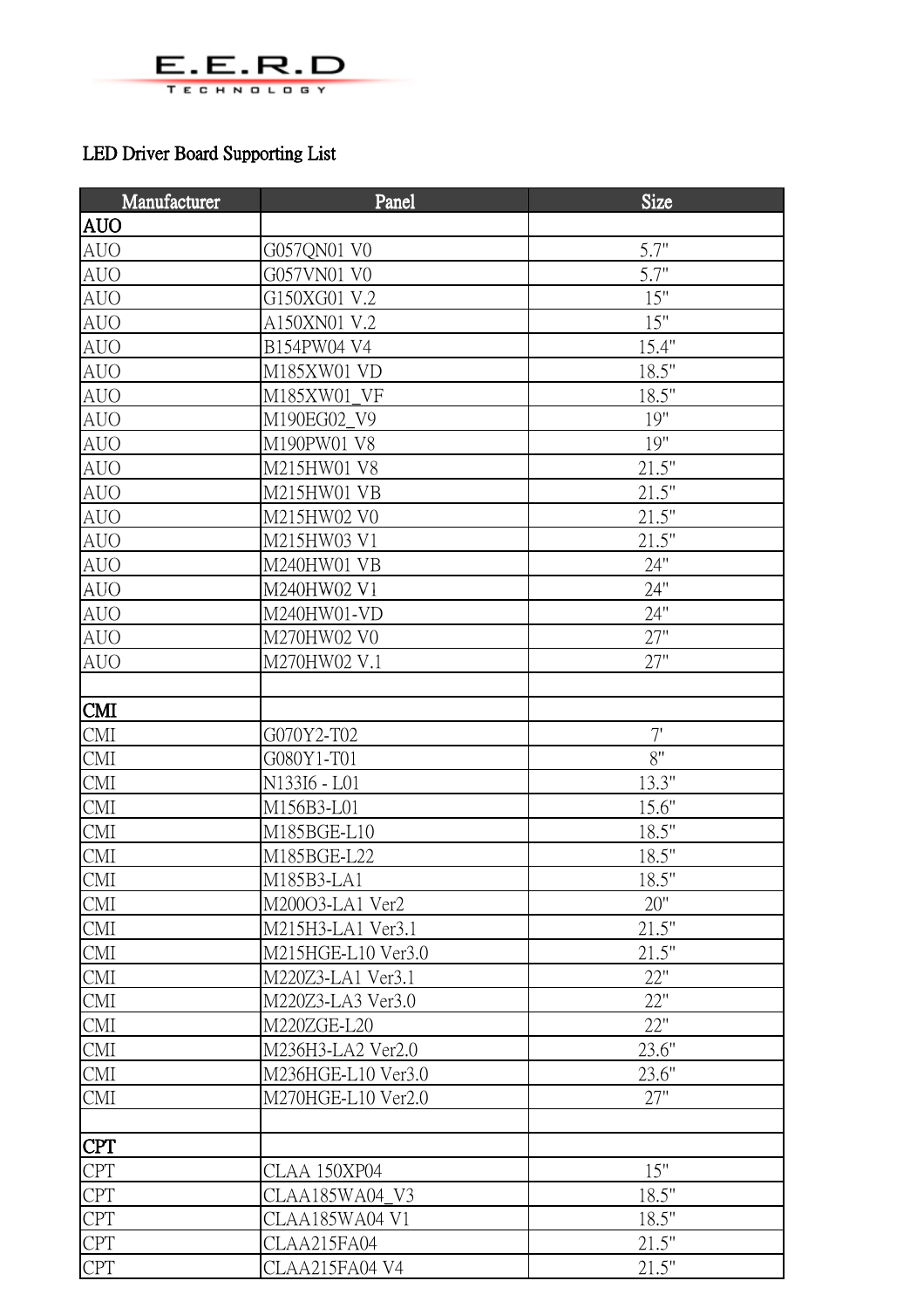

## LED Driver Board Supporting List

| Manufacturer                | Panel              | <b>Size</b> |
|-----------------------------|--------------------|-------------|
| <b>AUO</b>                  |                    |             |
| <b>AUO</b>                  | G057QN01 V0        | 5.7"        |
| <b>AUO</b>                  | G057VN01 V0        | 5.7"        |
| <b>AUO</b>                  | G150XG01 V.2       | 15"         |
| <b>AUO</b>                  | A150XN01 V.2       | 15"         |
| <b>AUO</b>                  | B154PW04 V4        | 15.4"       |
| <b>AUO</b>                  | M185XW01 VD        | 18.5"       |
| <b>AUO</b>                  | M185XW01 VF        | 18.5"       |
| <b>AUO</b>                  | M190EG02_V9        | 19"         |
| <b>AUO</b>                  | M190PW01 V8        | 19"         |
| <b>AUO</b>                  | M215HW01 V8        | 21.5"       |
| <b>AUO</b>                  | M215HW01 VB        | 21.5"       |
| <b>AUO</b>                  | M215HW02 V0        | 21.5"       |
| <b>AUO</b>                  | M215HW03 V1        | 21.5"       |
| <b>AUO</b>                  | M240HW01 VB        | 24"         |
| <b>AUO</b>                  | M240HW02 V1        | 24"         |
| <b>AUO</b>                  | M240HW01-VD        | 24"         |
| <b>AUO</b>                  | M270HW02 V0        | 27"         |
| <b>AUO</b>                  | M270HW02 V.1       | 27"         |
|                             |                    |             |
| <b>CMI</b>                  |                    |             |
| <b>CMI</b>                  | G070Y2-T02         | 7'          |
| <b>CMI</b>                  | G080Y1-T01         | $8"$        |
| CMI                         | N133I6 - L01       | 13.3"       |
| <b>CMI</b>                  | M156B3-L01         | 15.6"       |
| <b>CMI</b>                  | M185BGE-L10        | 18.5"       |
| <b>CMI</b>                  | M185BGE-L22        | 18.5"       |
| CMI                         | M185B3-LA1         | 18.5"       |
| <b>CMI</b>                  | M20003-LA1 Ver2    | 20"         |
| CMI                         | M215H3-LA1 Ver3.1  | 21.5"       |
| CMI                         | M215HGE-L10 Ver3.0 | 21.5"       |
| CMI                         | M220Z3-LA1 Ver3.1  | 22"         |
| <b>CMI</b>                  | M220Z3-LA3 Ver3.0  | 22"         |
| <b>CMI</b>                  | M220ZGE-L20        | 22"         |
| $\mathop{\rm CMI}\nolimits$ | M236H3-LA2 Ver2.0  | 23.6"       |
| <b>CMI</b>                  | M236HGE-L10 Ver3.0 | 23.6"       |
| CMI                         | M270HGE-L10 Ver2.0 | 27"         |
|                             |                    |             |
| <b>CPT</b>                  |                    |             |
| <b>CPT</b>                  | CLAA 150XP04       | 15"         |
| <b>CPT</b>                  | CLAA185WA04_V3     | 18.5"       |
| <b>CPT</b>                  | CLAA185WA04 V1     | 18.5"       |
| <b>CPT</b>                  | CLAA215FA04        | 21.5"       |
| <b>CPT</b>                  | CLAA215FA04 V4     | 21.5"       |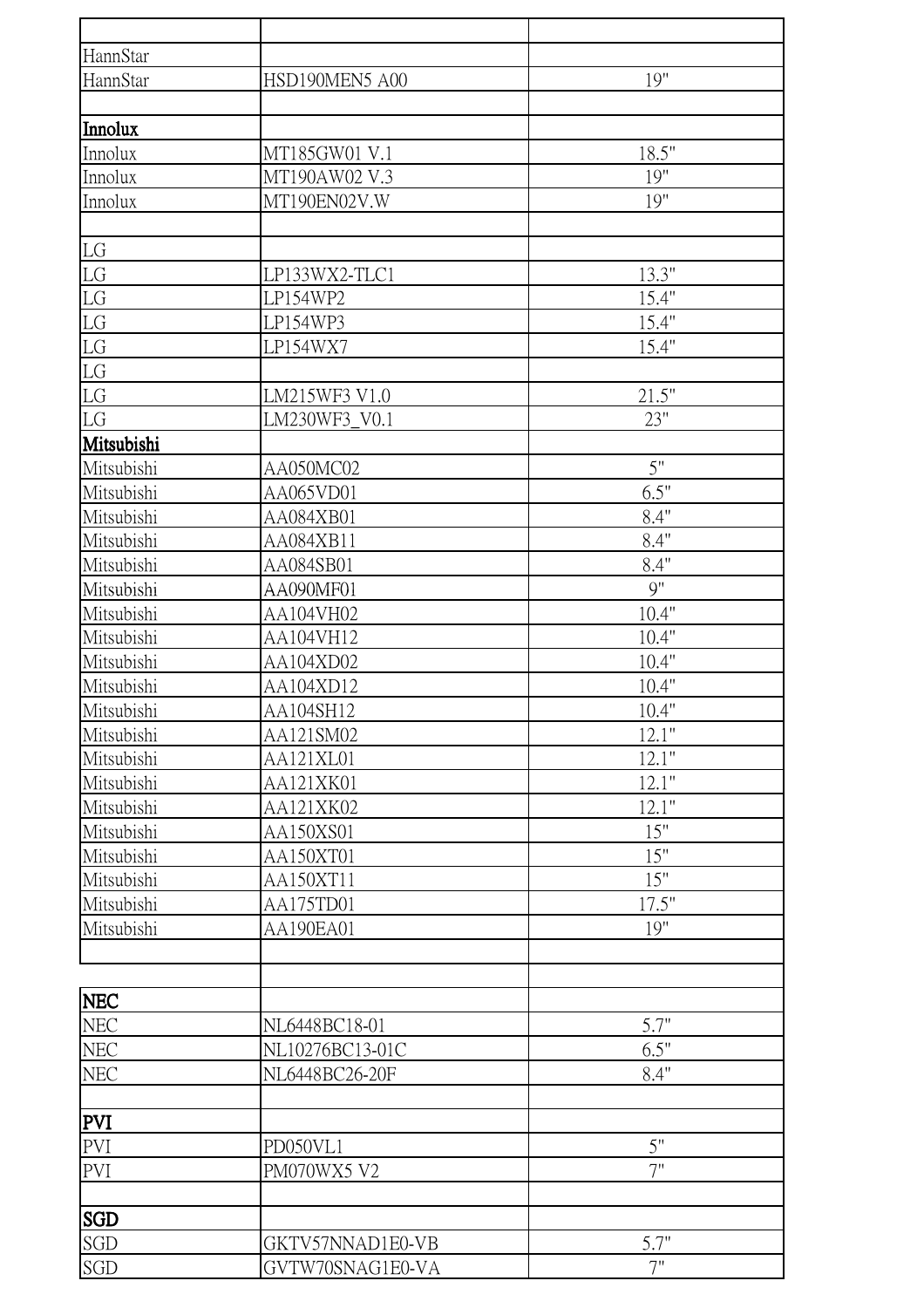| HannStar          |                  |          |
|-------------------|------------------|----------|
| HannStar          | HSD190MEN5 A00   | 19"      |
|                   |                  |          |
| Innolux           |                  |          |
| Innolux           | MT185GW01 V.1    | 18.5"    |
| <b>Innolux</b>    | MT190AW02 V.3    | 19"      |
| Innolux           | MT190EN02V.W     | 19"      |
|                   |                  |          |
| LG                |                  |          |
| ${\rm LG}$        | LP133WX2-TLC1    | 13.3"    |
| LG                | LP154WP2         | 15.4"    |
| LG                | LP154WP3         | 15.4"    |
| LG                | LP154WX7         | 15.4"    |
| LG                |                  |          |
| ${\rm LG}$        | LM215WF3 V1.0    | 21.5"    |
| LG                | LM230WF3_V0.1    | 23"      |
| Mitsubishi        |                  |          |
| Mitsubishi        | AA050MC02        | 5"       |
| Mitsubishi        | AA065VD01        | 6.5"     |
| Mitsubishi        | AA084XB01        | 8.4"     |
| Mitsubishi        | AA084XB11        | 8.4"     |
| Mitsubishi        | AA084SB01        | 8.4"     |
| Mitsubishi        | AA090MF01        | 9"       |
| Mitsubishi        | AA104VH02        | 10.4"    |
| Mitsubishi        | AA104VH12        | 10.4"    |
| Mitsubishi        | AA104XD02        | 10.4"    |
| Mitsubishi        | AA104XD12        | 10.4"    |
| Mitsubishi        | AA104SH12        | 10.4"    |
| Mitsubishi        | AA121SM02        | 12.1"    |
| Mitsubishi        | AA121XL01        | 12.1"    |
| Mitsubishi        | AA121XK01        | 12.1"    |
| Mitsubishi        | AA121XK02        | 12.1"    |
| Mitsubishi        | AA150XS01        | 15"      |
| Mitsubishi        | AA150XT01        | 15"      |
| Mitsubishi        | AA150XT11        | 15"      |
| Mitsubishi        | AA175TD01        | 17.5"    |
| Mitsubishi        | AA190EA01        | 19"      |
|                   |                  |          |
|                   |                  |          |
| <b>NEC</b>        |                  |          |
| <b>NEC</b>        | NL6448BC18-01    | 5.7"     |
| NEC               | NL10276BC13-01C  | 6.5"     |
| NEC               | NL6448BC26-20F   | 8.4"     |
|                   |                  |          |
| <b>PVI</b>        |                  |          |
| PVI               | PD050VL1         | 5"<br>7" |
| PVI               | PM070WX5 V2      |          |
|                   |                  |          |
| <b>SGD</b><br>SGD | GKTV57NNAD1E0-VB | 5.7"     |
|                   | GVTW70SNAG1E0-VA | 7"       |
| SGD               |                  |          |